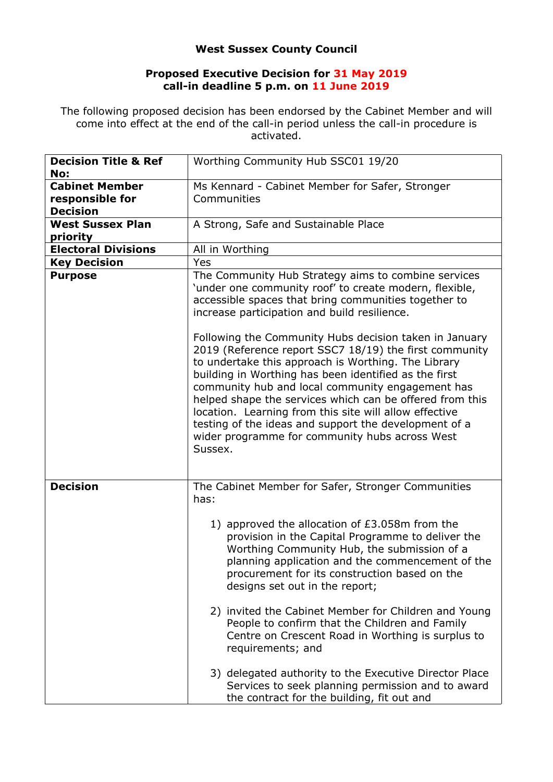## **West Sussex County Council**

## **Proposed Executive Decision for 31 May 2019 call-in deadline 5 p.m. on 11 June 2019**

The following proposed decision has been endorsed by the Cabinet Member and will come into effect at the end of the call-in period unless the call-in procedure is activated.

| <b>Decision Title &amp; Ref</b><br>No:                      | Worthing Community Hub SSC01 19/20                                                                                                                                                                                                                                                                                                                                                                                                                                                                                                                                                                                                                                                                                                                        |
|-------------------------------------------------------------|-----------------------------------------------------------------------------------------------------------------------------------------------------------------------------------------------------------------------------------------------------------------------------------------------------------------------------------------------------------------------------------------------------------------------------------------------------------------------------------------------------------------------------------------------------------------------------------------------------------------------------------------------------------------------------------------------------------------------------------------------------------|
| <b>Cabinet Member</b><br>responsible for<br><b>Decision</b> | Ms Kennard - Cabinet Member for Safer, Stronger<br>Communities                                                                                                                                                                                                                                                                                                                                                                                                                                                                                                                                                                                                                                                                                            |
| <b>West Sussex Plan</b><br>priority                         | A Strong, Safe and Sustainable Place                                                                                                                                                                                                                                                                                                                                                                                                                                                                                                                                                                                                                                                                                                                      |
| <b>Electoral Divisions</b>                                  | All in Worthing                                                                                                                                                                                                                                                                                                                                                                                                                                                                                                                                                                                                                                                                                                                                           |
| <b>Key Decision</b>                                         | Yes                                                                                                                                                                                                                                                                                                                                                                                                                                                                                                                                                                                                                                                                                                                                                       |
| <b>Purpose</b>                                              | The Community Hub Strategy aims to combine services<br>'under one community roof' to create modern, flexible,<br>accessible spaces that bring communities together to<br>increase participation and build resilience.<br>Following the Community Hubs decision taken in January<br>2019 (Reference report SSC7 18/19) the first community<br>to undertake this approach is Worthing. The Library<br>building in Worthing has been identified as the first<br>community hub and local community engagement has<br>helped shape the services which can be offered from this<br>location. Learning from this site will allow effective<br>testing of the ideas and support the development of a<br>wider programme for community hubs across West<br>Sussex. |
| <b>Decision</b>                                             | The Cabinet Member for Safer, Stronger Communities<br>has:<br>1) approved the allocation of £3.058m from the<br>provision in the Capital Programme to deliver the<br>Worthing Community Hub, the submission of a<br>planning application and the commencement of the<br>procurement for its construction based on the<br>designs set out in the report;<br>2) invited the Cabinet Member for Children and Young<br>People to confirm that the Children and Family<br>Centre on Crescent Road in Worthing is surplus to<br>requirements; and<br>3) delegated authority to the Executive Director Place<br>Services to seek planning permission and to award<br>the contract for the building, fit out and                                                  |